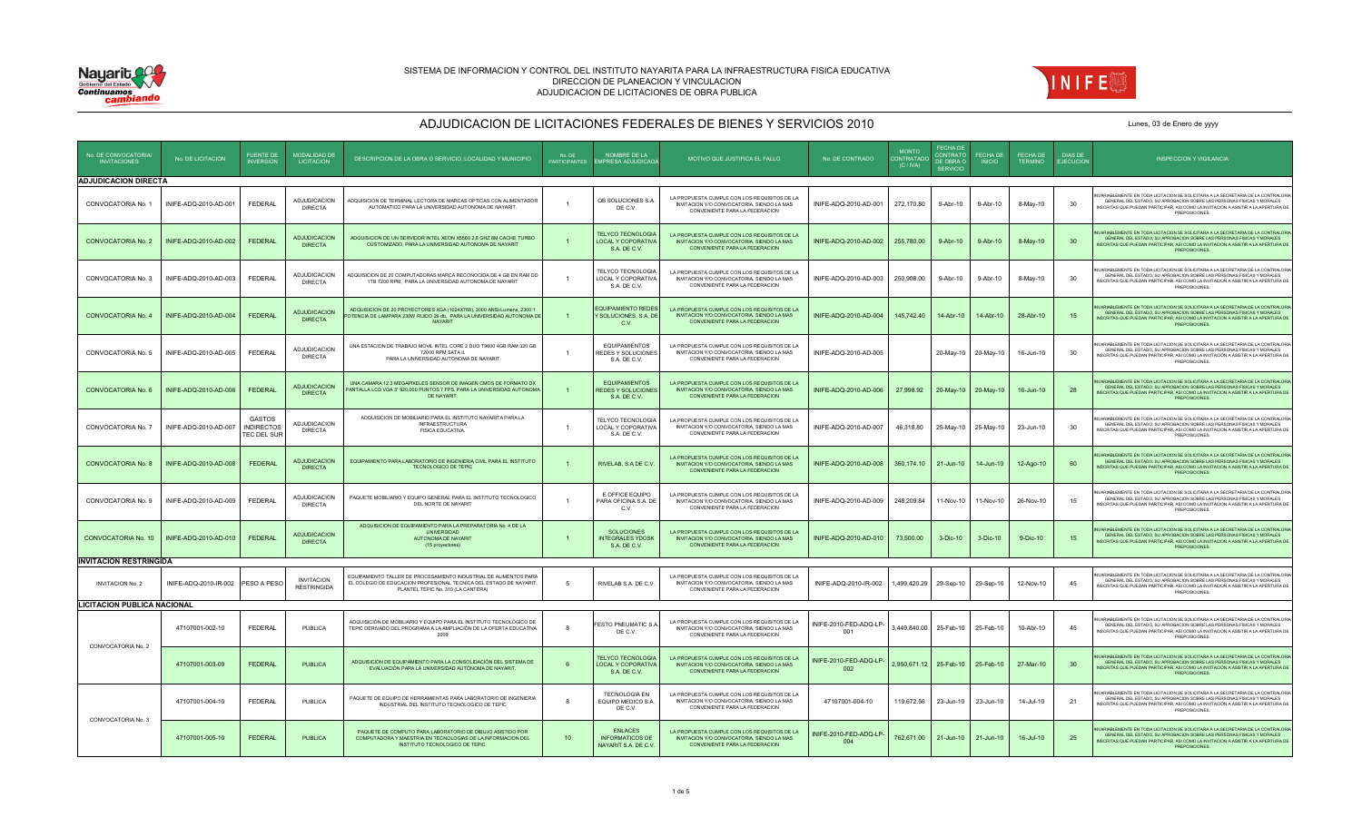



| No. DE CONVOCATORIA                | No. DE LICITACION                 | <b>FUENTE DE</b>                                  | <b>MODALIDAD DE</b><br><b>LICITACION</b> | DESCRIPCION DE LA OBRA O SERVICIO, LOCALIDAD Y MUNICIPIO                                                                                                                     | No DE<br><b>PARTICIPANT</b> | NOMBRE DE LA<br><b>IPRESA ADJUDICAD</b>                               | MOTIVO QUE JUSTIFICA EL FALLO                                                                                                | No. DE CONTRADO               | <b>MONTO</b><br><b>CONTRATADO</b><br>(C/NA) | <b>FECHA DE</b><br><b>CONTRATO</b><br>DE OBRA O<br><b>SERVICIO</b> | <b>FECHA DE</b><br><b>INICIO</b> | <b>FECHA DE</b>          | DIAS DE<br><b>JECUCION</b> | <b>INSPECCION Y VIGILANCIA</b>                                                                                                                                                                                                                                          |
|------------------------------------|-----------------------------------|---------------------------------------------------|------------------------------------------|------------------------------------------------------------------------------------------------------------------------------------------------------------------------------|-----------------------------|-----------------------------------------------------------------------|------------------------------------------------------------------------------------------------------------------------------|-------------------------------|---------------------------------------------|--------------------------------------------------------------------|----------------------------------|--------------------------|----------------------------|-------------------------------------------------------------------------------------------------------------------------------------------------------------------------------------------------------------------------------------------------------------------------|
| <b>ADJUDICACION DIRECTA</b>        |                                   |                                                   |                                          |                                                                                                                                                                              |                             |                                                                       |                                                                                                                              |                               |                                             |                                                                    |                                  |                          |                            |                                                                                                                                                                                                                                                                         |
| CONVOCATORIA No. 1                 | INIFE-ADQ-2010-AD-001             | FEDERAL                                           | <b>ADJUDICACION</b><br><b>DIRECTA</b>    | ADQUISICION DE TERMINAL LECTORA DE MARCAS OPTICAS CON ALIMENTADOR<br>AUTOMATICO PARA LA UNIVERSIDAD AUTONOMA DE NAYARIT.                                                     | $\overline{1}$              | QB SOLUCIONES S.A<br>DE C.V.                                          | LA PROPUESTA CUMPLE CON LOS REQUISITOS DE LA<br>INVITACION Y/O CONVOCATORIA, SIENDO LA MAS<br>CONVENIENTE PARA LA FEDERACION | INIFE-ADQ-2010-AD-001         | 272,170.80                                  | 9-Abr-10                                                           | 9-Abr-10                         | 8-May-10                 | 30                         | ARIABLEMENTE EN TODA LICITACION SE SOLICITARA A LA SECRETARIA DE LA CONTRALORIA<br>GENERAL DEL ESTADO, SU APROBACION SOBRE LAS PERSONAS FISICAS Y MORALES<br>NSCRITAS QUE PUEDAN PARTICIPAR, ASI COMO LA INVITACION A ASISTIR A LA APERTURA DE<br>PREPOSICIONES.        |
| <b>CONVOCATORIA No. 2</b>          | INIFE-ADQ-2010-AD-002             | FEDERAL                                           | <b>ADJUDICACION</b><br><b>DIRECTA</b>    | ADQUISICION DE UN SERVIDOR INTEL XEON X5560 2.8 GHZ 8M CACHE TURBO<br>CUSTOMIZADO. PARA LA UNIVERSIDAD AUTONOMA DE NAYARIT                                                   |                             | <b>TELYCO TECNOLOGIA</b><br><b>LOCAL Y COPORATIVA</b><br>S.A. DE C.V. | LA PROPUESTA CUMPLE CON LOS REQUISITOS DE LA<br>INVITACION Y/O CONVOCATORIA, SIENDO LA MAS<br>CONVENIENTE PARA LA FEDERACION | INIFE-ADQ-2010-AD-002         | 255,780.00                                  | 9-Abr-10                                                           | 9-Abr-10                         | 8-May-10                 | 30                         | ARIARI EMENTE EN TODA LICITACIÓN SE SOLICITARA A LA SECRETARIA DE LA CONTRALORIA<br>GENERAL DEL ESTADO. SU APROBACION SOBRE LAS PERSONAS FISICAS Y MORALES<br>NSCRITAS QUE PUEDAN PARTICIPAR, ASI COMO LA INVITACION A ASISTIR A LA APERTURA DE<br>PREPOSICIONES.       |
| CONVOCATORIA No. 3                 | INIFE-ADQ-2010-AD-003             | <b>FEDERAL</b>                                    | ADJUDICACION<br><b>DIRECTA</b>           | ADQUISICION DE 20 COMPUTADORAS MARCA RECONOCIDA DE 4 GB EN RAM DD<br>1TB 7200 RPM, PARA LA UNIVERSIDAD AUTONOMA DE NAYARIT                                                   | $\overline{1}$              | TELYCO TECNOLOGIA<br>LOCAL Y COPORATIVA<br>S.A. DE C.V.               | LA PROPUESTA CUMPLE CON LOS REQUISITOS DE LA<br>INVITACION Y/O CONVOCATORIA, SIENDO LA MAS<br>CONVENIENTE PARA LA FEDERACION | INIFE-ADQ-2010-AD-003         | 250,908.00                                  | 9-Abr-10                                                           | 9-Abr-10                         | 8-May-10                 | 30                         | ARIABLEMENTE EN TODA LICITACION SE SOLICITARA A LA SECRETARIA DE LA CONTRALORIA<br>GENERAL DEL ESTADO. SU APROBACION SOBRE LAS PERSONAS FISICAS Y MORALES<br>NSCRITAS QUE PUEDAN PARTICIPAR, ASI COMO LA INVITACION A ASISTIR A LA APERTURA DE<br>PREPOSICIONES.        |
| CONVOCATORIA No. 4                 | INIFE-ADQ-2010-AD-004             | <b>FEDERAL</b>                                    | <b>ADJUDICACION</b><br><b>DIRECTA</b>    | ADQUISICION DE 20 PROYECTORES XGA (1024X768), 3000 ANSI-Lumens, 2300:1<br>OTENCIA DE LAMPARA 230W RUIDO 29 db, PARA LA UNIVERSIDAD AUTONOMA DE<br><b>NAYARIT</b>             | $\overline{1}$              | <b>EQUIPAMIENTO REDES</b><br>Y SOLUCIONES, S.A. DE<br>C.V.            | LA PROPUESTA CUMPLE CON LOS REQUISITOS DE LA<br>INVITACION Y/O CONVOCATORIA, SIENDO LA MAS<br>CONVENIENTE PARA LA FEDERACION | INIFE-ADQ-2010-AD-004         | 145,742.40                                  | 14-Abr-10                                                          | 14-Abr-10                        | 28-Abr-10                | 15                         | RIABLEMENTE EN TODA LICITACION SE SOLICITARA A LA SECRETARIA DE LA CONTRALORIA<br>GENERAL DEL ESTADO. SU APROBACION SOBRE LAS PERSONAS FISICAS Y MORALES<br>NSCRITAS QUE PUEDAN PARTICIPAR. ASI COMO LA INVITACION A ASISTIR A LA APERTURA DE<br>PREPOSICIONES.         |
| CONVOCATORIA No. 5                 | INIFE-ADQ-2010-AD-005             | FEDERAL                                           | <b>ADJUDICACION</b><br><b>DIRECTA</b>    | UNA ESTACION DE TRABAJO MOVIL INTEL CORE 2 DUO T9600 4GB RAM 320 GB<br>72000 RPM SATA II.<br>PARA LA UNIVERSIDAD AUTONOMA DE NAYARIT                                         |                             | <b>EQUIPAMIENTOS</b><br>REDES Y SOLUCIONES<br>S.A. DE C.V.            | LA PROPUESTA CUMPLE CON LOS REQUISITOS DE LA<br>INVITACION Y/O CONVOCATORIA, SIENDO LA MAS<br>CONVENIENTE PARA LA FEDERACION | INIFE-ADQ-2010-AD-005         |                                             | 20-May-10 20-May-10                                                |                                  | 16-Jun-10                | 30                         | ARIABLEMENTE EN TODA LICITACION SE SOLICITARA A LA SECRETARIA DE LA CONTRALORIA<br>GENERAL DEL ESTADO, SU APROBACION SOBRE LAS PERSONAS FISICAS Y MORALES<br>INSCRITAS QUE PUEDAN PARTICIPAR, ASI COMO LA INVITACION A ASISTIR A LA APERTURA DE<br>PREPOSICIONES.       |
| CONVOCATORIA No. 6                 | INIFE-ADQ-2010-AD-006             | <b>FEDERAL</b>                                    | <b>ADJUDICACION</b><br><b>DIRECTA</b>    | UNA CAMARA 12.3 MEGAPIXELES SENSOR DE IMAGEN CMOS DE FORMATO DX<br>PANTALLA LCD VGA 3" 920,000 PUNTOS 7 FPS, PARA LA UNIVERSIDAD AUTONOMA<br>DE NAYARIT.                     |                             | <b>EQUIPAMIENTOS</b><br>REDES Y SOLUCIONES<br>S.A. DE C.V.            | LA PROPUESTA CUMPLE CON LOS REQUISITOS DE LA<br>INVITACION Y/O CONVOCATORIA, SIENDO LA MAS<br>CONVENIENTE PARA LA FEDERACION | INIFE-ADQ-2010-AD-006         | 27,998.92                                   | 20-May-10                                                          | 20-May-10                        | 16-Jun-10                | 28                         | RIABLEMENTE EN TODA LICITACIÓN SE SOLICITARA A LA SECRETARIA DE LA CONTRALORIA<br>GENERAL DEL ESTADO, SU APROBACION SOBRE LAS PERSONAS FISICAS Y MORALES<br>INSCRITAS QUE PUEDAN PARTICIPAR, ASI COMO LA INVITACION A ASISTIR A LA APERTURA DE<br>PREPOSICIONES.        |
| CONVOCATORIA No. 7                 | INIFE-ADQ-2010-AD-007             | <b>GASTOS</b><br><b>INDIRECTOS</b><br>TEC DEL SUR | ADJUDICACION<br><b>DIRECTA</b>           | ADQUISICION DE MOBILIARIO PARA EL INSTITUTO NAYARITA PARA LA<br><b>INFRAESTRUCTURA</b><br><b>FISICA EDUCATIVA.</b>                                                           | $\overline{1}$              | <b>FELYCO TECNOLOGIA</b><br>LOCAL Y COPORATIVA<br>S.A. DE C.V.        | LA PROPUESTA CUMPLE CON LOS REQUISITOS DE LA<br>INVITACION Y/O CONVOCATORIA, SIENDO LA MAS<br>CONVENIENTE PARA LA FEDERACION | INIFE-ADQ-2010-AD-007         | 46,318.80                                   | 25-May-10 25-May-10                                                |                                  | 23-Jun-10                | 30                         | ARIABLEMENTE EN TODA LICITACION SE SOLICITARA A LA SECRETARIA DE LA CONTRALORIA<br>GENERAL DEL ESTADO, SU APROBACION SOBRE LAS PERSONAS FISICAS Y MORALES<br>INSCRITAS QUE PUEDAN PARTICIPAR, ASI COMO LA INVITACION A ASISTIR A LA APERTURA DE<br><b>PREPOSICIONES</b> |
| CONVOCATORIA No. 8                 | INIFE-ADQ-2010-AD-008             | FEDERAL                                           | ADJUDICACION<br><b>DIRECTA</b>           | EQUIPAMIENTO PARA LABORATORIO DE INGENIERIA CIVIL PARA EL INSTITUTO<br>TECNOLOGICO DE TEPIC                                                                                  | $\overline{1}$              | RIVELAB, S.A DE C.V.                                                  | LA PROPUESTA CUMPLE CON LOS REQUISITOS DE LA<br>INVITACION Y/O CONVOCATORIA, SIENDO LA MAS<br>CONVENIENTE PARA LA FEDERACION | INIFE-ADQ-2010-AD-008         | 360,174.10                                  | 21-Jun-10                                                          | 14-Jun-10                        | 12-Ago-10                | 60                         | ARIABLEMENTE EN TODA LICITACION SE SOLICITARA A LA SECRETARIA DE LA CONTRALORIA<br>GENERAL DEL ESTADO, SU APROBACION SOBRE LAS PERSONAS FISICAS Y MORALES<br>NSCRITAS QUE PUEDAN PARTICIPAR, ASI COMO LA INVITACION A ASISTIR A LA APERTURA DE<br>PREPOSICIONES.        |
| CONVOCATORIA No. 9                 | INIFE-ADQ-2010-AD-009             | <b>FEDERAL</b>                                    | ADJUDICACION<br><b>DIRECTA</b>           | PAQUETE MOBILIARIO Y EQUIPO GENERAL PARA EL INSTITUTO TECNOLOGICO<br>DEL NORTE DE NAYARIT                                                                                    | $\overline{1}$              | E OFFICE EQUIPO<br>PARA OFICINA S.A. DE<br>C.V.                       | LA PROPUESTA CUMPLE CON LOS REQUISITOS DE LA<br>INVITACION Y/O CONVOCATORIA, SIENDO LA MAS<br>CONVENIENTE PARA LA FEDERACION | INIFE-ADQ-2010-AD-009         | 248,209.84                                  | 11-Nov-10                                                          | 11-Nov-10                        | 26-Nov-10                | 15                         | /ARIABLEMENTE EN TODA LICITACION SE SOLICITARA A LA SECRETARIA DE LA CONTRALORIA<br>GENERAL DEL ESTADO. SU APROBACION SOBRE LAS PERSONAS FISICAS Y MORALES<br>NSCRITAS QUE PUEDAN PARTICIPAR, ASI COMO LA INVITACION A ASISTIR A LA APERTURA DE<br>PREPOSICIONES.       |
| CONVOCATORIA No. 10                | INIFE-ADQ-2010-AD-010             | <b>FEDERAL</b>                                    | <b>ADJUDICACION</b><br><b>DIRECTA</b>    | ADQUISICION DE EQUIPAMIENTO PARA LA PREPARATORIA No. 4 DE LA<br><b>UNIVERSIDAD</b><br>AUTONOMA DE NAYARIT<br>(15 proyectores)                                                |                             | SOLUCIONES<br><b>INTEGRALES YDOSK</b><br>S.A. DE C.V.                 | LA PROPUESTA CUMPLE CON LOS REQUISITOS DE LA<br>INVITACION Y/O CONVOCATORIA, SIENDO LA MAS<br>CONVENIENTE PARA LA FEDERACION | INIFE-ADQ-2010-AD-010         | 73,500.00                                   | $3-Dic-10$                                                         | 3-Dic-10                         | 9-Dic-10                 | 15                         | ARIABLEMENTE EN TODA LICITACION SE SOLICITARA A LA SECRETARIA DE LA CONTRALORI<br>GENERAL DEL ESTADO, SU APROBACIÓN SOBRE LAS PERSONAS EISICAS Y MORALES.<br>NSCRITAS QUE PUEDAN PARTICIPAR. ASI COMO LA INVITACION A ASISTIR A LA APERTURA DE<br>PREPOSICIONES.        |
| <b>INVITACION RESTRINGIDA</b>      |                                   |                                                   |                                          |                                                                                                                                                                              |                             |                                                                       |                                                                                                                              |                               |                                             |                                                                    |                                  |                          |                            |                                                                                                                                                                                                                                                                         |
| <b>INVITACION No. 2</b>            | INIFE-ADQ-2010-IR-002 PESO A PESO |                                                   | <b>INVITACION</b><br><b>RESTRINGIDA</b>  | EQUIPAMIENTO TALLER DE PROCESAMIENTO INDUSTRIAL DE ALIMENTOS PARA<br>EL COLEGIO DE EDUCACION PROFESIONAL TECNICA DEL ESTADO DE NAYARIT<br>PLANTEL TEPIC No. 310 (LA CANTERA) | -5                          | RIVELAB S.A. DE C.V.                                                  | LA PROPUESTA CUMPLE CON LOS REQUISITOS DE LA<br>INVITACION Y/O CONVOCATORIA, SIENDO LA MAS<br>CONVENIENTE PARA LA FEDERACIÓN | INIFE-ADQ-2010-IR-002         | 1,499,420.29                                | 29-Sep-10                                                          | 29-Sep-10                        | 12-Nov-10                | 45                         | ARIABLEMENTE EN TODA LICITACION SE SOLICITARA A LA SECRETARIA DE LA CONTRALORIA<br>GENERAL DEL ESTADO, SU APROBACIÓN SOBRE LAS PERSONAS EISICAS Y MORALES.<br>NSCRITAS QUE PUEDAN PARTICIPAR. ASI COMO LA INVITACION A ASISTIR A LA APERTURA DE<br>PREPOSICIONES.       |
| <b>LICITACION PUBLICA NACIONAL</b> |                                   |                                                   |                                          |                                                                                                                                                                              |                             |                                                                       |                                                                                                                              |                               |                                             |                                                                    |                                  |                          |                            |                                                                                                                                                                                                                                                                         |
| CONVOCATORIA No. 2                 | 47107001-002-10                   | <b>FEDERAL</b>                                    | PUBLICA                                  | ADQUISICIÓN DE MOBILIARIO Y EQUIPO PARA EL INSTITUTO TECNOLÓGICO DE<br>TEPIC DERIVADO DEL PROGRAMA A LA AMPLIACIÓN DE LA OFERTA EDUCATIVA<br>2009                            | 8                           | <b>ESTO PNEUMATIC S.A</b><br>DE C.V.                                  | LA PROPUESTA CUMPLE CON LOS REQUISITOS DE LA<br>INVITACION Y/O CONVOCATORIA, SIENDO LA MAS<br>CONVENIENTE PARA LA FEDERACION | INIFE-2010-FED-ADQ-LP-<br>001 |                                             | 3,449,840.00 25-Feb-10 25-Feb-10                                   |                                  | 10-Abr-10                | 45                         | /ARIABLEMENTE EN TODA LICITACION SE SOLICITARA A LA SECRETARIA DE LA CONTRALOR<br>GENERAL DEL ESTADO. SU APROBACION SOBRE LAS PERSONAS FISICAS Y MORALES<br>NSCRITAS QUE PUEDAN PARTICIPAR, ASI COMO LA INVITACION A ASISTIR A LA APERTURA DE<br>PREPOSICIONES.         |
|                                    | 47107001-003-09                   | <b>FEDERAL</b>                                    | PUBLICA                                  | ADQUISICIÓN DE EQUIPAMIENTO PARA LA CONSOLIDACIÓN DEL SISTEMA DE<br>EVALUACIÓN PARA LA UNIVERSIDAD AUTÓNOMA DE NAYARIT                                                       | -6                          | <b>TELYCO TECNOLOGIA</b><br><b>LOCAL Y COPORATIVA</b><br>S.A. DE C.V. | LA PROPUESTA CUMPLE CON LOS REQUISITOS DE LA<br>INVITACION Y/O CONVOCATORIA, SIENDO LA MAS<br>CONVENIENTE PARA LA FEDERACION | INIFE-2010-FED-ADQ-LP<br>002  |                                             | 2,950,671.12 25-Feb-10                                             | 25-Feb-10                        | 27-Mar-10                | 30                         | ARIABLEMENTE EN TODA LICITACION SE SOLICITARA A LA SECRETARIA DE LA CONTRALORIA<br>GENERAL DEL ESTADO, SU APROBACION SOBRE LAS PERSONAS FISICAS Y MORALES<br>NSCRITAS QUE PUEDAN PARTICIPAR, ASI COMO LA INVITACION A ASISTIR A LA APERTURA DE<br>PREPOSICIONES.        |
| CONVOCATORIA No. 3                 | 47107001-004-10                   | <b>FEDERAL</b>                                    | PUBLICA                                  | PAQUETE DE EQUIPO DE HERRAMIENTAS PARA LABORATORIO DE INGENIERIA<br>INDUSTRIAL DEL INSTITUTO TECNOLOGICO DE TEPIC                                                            | 8                           | <b>TECNOLOGIA EN</b><br>EQUIPO MEDICO S.A.<br>DE C.V.                 | LA PROPUESTA CUMPLE CON LOS REQUISITOS DE LA<br>INVITACION Y/O CONVOCATORIA, SIENDO LA MAS<br>CONVENIENTE PARA LA FEDERACION | 47107001-004-10               | 119,672.56                                  | 23-Jun-10                                                          | 23-Jun-10                        | 14-Jul-10                | 21                         | ARIARI EMENTE EN TODA LICITACION SE SOLICITARA A LA SECRETARIA DE LA CONTRALORIA<br>GENERAL DEL ESTADO, SU APROBACION SOBRE LAS PERSONAS FISICAS Y MORALES<br>INSCRITAS QUE PUEDAN PARTICIPAR, ASI COMO LA INVITACION A ASISTIR A LA APERTURA DE<br>PREPOSICIONES.      |
|                                    | 47107001-005-10                   | <b>FEDERAL</b>                                    | PUBLICA                                  | PAQUETE DE COMPUTO PARA LABORATORIO DE DIBUJO ASISTIDO POR<br>COMPUTADORA Y MAESTRIA EN TECNOLOGIAS DE LA INFORMACION DEL<br>INSTITUTO TECNOLOGICO DE TEPIC.                 | 10 <sub>1</sub>             | <b>ENLACES</b><br><b>INFORMATICOS DE</b><br>NAYARIT S.A. DE C.V.      | LA PROPUESTA CUMPLE CON LOS REQUISITOS DE LA<br>INVITACION Y/O CONVOCATORIA, SIENDO LA MAS<br>CONVENIENTE PARA LA FEDERACION | INIFE-2010-FED-ADQ-LP-<br>004 | 762,671.00                                  | 21-Jun-10                                                          | $21 - \frac{1}{2}$               | $16 - \frac{1}{10} - 10$ | 25                         | ARIABLEMENTE EN TODA LICITACION SE SOLICITARA A LA SECRETARIA DE LA CONTRALORIA<br>GENERAL DEL ESTADO, SU APROBACION SOBRE LAS PERSONAS FISICAS Y MORALES<br>INSCRITAS QUE PUEDAN PARTICIPAR, ASI COMO LA INVITACION A ASISTIR A LA APERTURA DE<br>PREPOSICIONES        |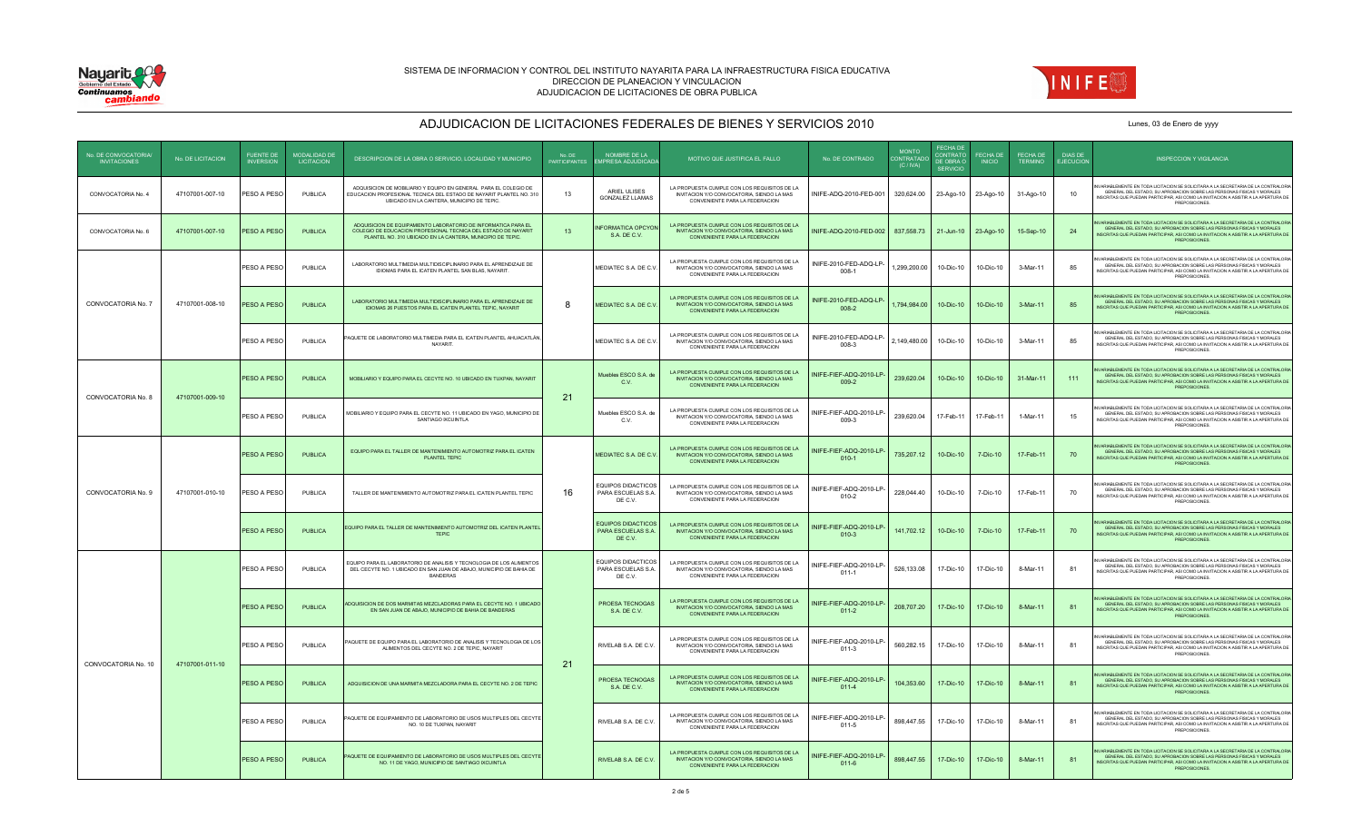



| No DE CONVOCATORIA<br><b>INVITACIONES</b> | No. DE LICITACION | <b>FUENTE DE</b><br><b>INVERSION</b> | <b>MODALIDAD DE</b><br><b>LICITACION</b> | DESCRIPCION DE LA OBRA O SERVICIO, LOCALIDAD Y MUNICIPIO                                                                                                                                       | No DE<br><b>PARTICIPANTES</b> | NOMBRE DE LA<br>MPRESA ADJUDICADA                          | MOTIVO QUE JUSTIFICA EL FALLO                                                                                                       | No DE CONTRADO                       | <b>MONTO</b><br>CONTRATAD<br>(C/IVA) | <b>FECHA DE</b><br><b>CONTRATO</b><br>DE OBRA O<br>SERVICIO | <b>FFCHA DE</b><br><b>INICIO</b> | FECHA DE<br><b>TERMINO</b> | DIAS DE<br><b>EJECUCION</b> | <b>INSPECCION Y VIGILANCIA</b>                                                                                                                                                                                                                                         |
|-------------------------------------------|-------------------|--------------------------------------|------------------------------------------|------------------------------------------------------------------------------------------------------------------------------------------------------------------------------------------------|-------------------------------|------------------------------------------------------------|-------------------------------------------------------------------------------------------------------------------------------------|--------------------------------------|--------------------------------------|-------------------------------------------------------------|----------------------------------|----------------------------|-----------------------------|------------------------------------------------------------------------------------------------------------------------------------------------------------------------------------------------------------------------------------------------------------------------|
| CONVOCATORIA No. 4                        | 47107001-007-10   | PESO A PESO                          | PUBLICA                                  | ADQUISICION DE MOBILIARIO Y EQUIPO EN GENERAL PARA EL COLEGIO DE<br>EDUCACION PROFESIONAL TECNICA DEL ESTADO DE NAYARIT PLANTEL NO. 310<br>UBICADO EN LA CANTERA, MUNICIPIO DE TEPIC.          | 13                            | ARIEL ULISES<br><b>GONZALEZ LLAMAS</b>                     | LA PROPUESTA CUMPLE CON LOS REQUISITOS DE LA<br>INVITACION Y/O CONVOCATORIA, SIENDO LA MAS<br>CONVENIENTE PARA LA FEDERACION        | INIFE-ADQ-2010-FED-001               | 320,624.00                           | 23-Ago-10                                                   | 23-Ago-10                        | 31-Ago-10                  | 10                          | ARIABLEMENTE EN TODA LICITACION SE SOLICITARA A LA SECRETARIA DE LA CONTRALORIA<br>GENERAL DEL ESTADO, SU APROBACION SOBRE LAS PERSONAS FISICAS Y MORALES<br>INSCRITAS QUE PUEDAN PARTICIPAR, ASI COMO LA INVITACION A ASISTIR A LA APERTURA DE<br>PREPOSICIONES.      |
| CONVOCATORIA No. 6                        | 47107001-007-10   | PESO A PESO                          | <b>PUBLICA</b>                           | ADQUISICION DE EQUIPAMIENTO LABORATORIO DE INFORMATICA PARA EL<br>COLEGIO DE EDUCACION PROFESIONAL TECNICA DEL ESTADO DE NAYARIT<br>PLANTEL NO. 310 UBICADO EN LA CANTERA, MUNICIPIO DE TEPIC. | 13                            | NFORMATICA OPCYON<br>S.A. DE C.V.                          | LA PROPUESTA CUMPLE CON LOS REQUISITOS DE LA<br>INVITACION Y/O CONVOCATORIA, SIENDO LA MAS<br>CONVENIENTE PARA LA FEDERACION        | INIFE-ADQ-2010-FED-002               | 837,558.73                           | $21 - \frac{1}{2}$                                          | 23-Ago-10                        | 15-Sep-10                  | 24                          | ARIARI EMENTE EN TODA LICITACIÓN SE SOLICITARA A LA SECRETARIA DE LA CONTRALORIA<br>GENERAL DEL ESTADO, SU APROBACION SOBRE LAS PERSONAS FISICAS Y MORALES<br>INSCRITAS QUE PUEDAN PARTICIPAR, ASI COMO LA INVITACION A ASISTIR A LA APERTURA DE<br>PREPOSICIONES.     |
|                                           |                   | PESO A PESO                          | PUBLICA                                  | LABORATORIO MULTIMEDIA MULTIDISCIPLINARIO PARA EL APRENDIZAJE DE<br>IDIOMAS PARA EL ICATEN PLANTEL SAN BLAS, NAYARIT.                                                                          |                               | MEDIATEC S.A. DE C.V.                                      | LA PROPUESTA CUMPLE CON LOS REQUISITOS DE LA<br>INVITACION Y/O CONVOCATORIA, SIENDO LA MAS<br>CONVENIENTE PARA LA FEDERACION        | INIFE-2010-FED-ADQ-LP-<br>$008-1$    | 1,299,200.00                         | 10-Dic-10                                                   | 10-Dic-10                        | 3-Mar-11                   | 85                          | ARIABLEMENTE EN TODA LICITACION SE SOLICITARA A LA SECRETARIA DE LA CONTRALORIA<br>GENERAL DEL ESTADO. SU APROBACION SOBRE LAS PERSONAS FISICAS Y MORALES<br>NSCRITAS QUE PUEDAN PARTICIPAR, ASI COMO LA INVITACION A ASISTIR A LA APERTURA DE<br><b>PREPOSICIONES</b> |
| CONVOCATORIA No. 7                        | 47107001-008-10   | PESO A PESO                          | <b>PUBLICA</b>                           | LABORATORIO MULTIMEDIA MULTIDISCIPLINARIO PARA EL APRENDIZAJE DE<br>IDIOMAS 26 PUESTOS PARA EL ICATEN PLANTEL TEPIC. NAYARIT                                                                   | 8                             | MEDIATEC S.A. DE C.V.                                      | LA PROPUESTA CUMPLE CON LOS REQUISITOS DE LA<br>INVITACION Y/O CONVOCATORIA, SIENDO LA MAS<br>CONVENIENTE PARA LA FEDERACION        | INIFE-2010-FED-ADQ-LP<br>$008 - 2$   | 1,794,984.00                         | 10-Dic-10                                                   | 10-Dic-10                        | 3-Mar-11                   | 85                          | RIABLEMENTE EN TODA LICITACION SE SOLICITARA A LA SECRETARIA DE LA CONTRALORIA<br>GENERAL DEL ESTADO. SU APROBACION SOBRE LAS PERSONAS FISICAS Y MORALES<br>INSCRITAS QUE PUEDAN PARTICIPAR. ASI COMO LA INVITACION A ASISTIR A LA APERTURA DE<br>PREPOSICIONES.       |
|                                           |                   | PESO A PESO                          | PUBLICA                                  | AQUETE DE LABORATORIO MULTIMEDIA PARA EL ICATEN PLANTEL AHUACATLÁN,<br>NAYARIT.                                                                                                                |                               | MEDIATEC S.A. DE C.V.                                      | LA PROPUESTA CUMPLE CON LOS REQUISITOS DE LA<br>INVITACION Y/O CONVOCATORIA, SIENDO LA MAS<br>CONVENIENTE PARA LA FEDERACION        | INIFE-2010-FED-ADQ-LP-<br>008-3      | 2,149,480.00                         | 10-Dic-10                                                   | 10-Dic-10                        | 3-Mar-11                   | 85                          | RIABLEMENTE EN TODA LICITACION SE SOLICITARA A LA SECRETARIA DE LA CONTRALORIA<br>GENERAL DEL ESTADO, SU APROBACION SOBRE LAS PERSONAS FISICAS Y MORALES<br>INSCRITAS QUE PUEDAN PARTICIPAR, ASI COMO LA INVITACION A ASISTIR A LA APERTURA DE<br>PREPOSICIONES.       |
| CONVOCATORIA No. 8                        |                   | PESO A PESO                          | PUBLICA                                  | MOBILIARIO Y EQUIPO PARA EL CECYTE NO. 10 UBICADO EN TUXPAN, NAYARI'                                                                                                                           |                               | Muebles ESCO S.A. de<br>C.V.                               | LA PROPUESTA CUMPLE CON LOS REQUISITOS DE LA<br>INVITACION Y/O CONVOCATORIA, SIENDO LA MAS<br>CONVENIENTE PARA LA FEDERACION        | INIFE-FIEF-ADQ-2010-LP-<br>$009-2$   | 239,620.04                           | 10-Dic-10                                                   | 10-Dic-10                        | 31-Mar-11                  | 111                         | ARIARI EMENTE EN TODA LICITACIÓN SE SOLICITARA A LA SECRETARIA DE LA CONTRALORIA<br>GENERAL DEL ESTADO, SU APROBACION SOBRE LAS PERSONAS FISICAS Y MORALES<br>NSCRITAS QUE PUEDAN PARTICIPAR, ASI COMO LA INVITACION A ASISTIR A LA APERTURA DE<br>PREPOSICIONES.      |
|                                           | 47107001-009-10   | PESO A PESO                          | PUBLICA                                  | MOBILIARIO Y EQUIPO PARA EL CECYTE NO. 11 UBICADO EN YAGO, MUNICIPIO DE<br>SANTIAGO IXCUINTLA                                                                                                  | 21                            | Muebles ESCO S.A. de<br>C.V.                               | LA PROPUESTA CUMPLE CON LOS REQUISITOS DE LA<br>INVITACION Y/O CONVOCATORIA, SIENDO LA MAS<br>CONVENIENTE PARA LA FEDERACION        | INIFE-FIEF-ADQ-2010-LP-<br>$009-3$   | 239,620.04                           | 17-Feb-11                                                   | 17-Feb-11                        | 1-Mar-11                   | 15                          | ARIABLEMENTE EN TODA LICITACION SE SOLICITARA A LA SECRETARIA DE LA CONTRALORIA<br>GENERAL DEL ESTADO, SU APROBACION SOBRE LAS PERSONAS FISICAS Y MORALES<br>NSCRITAS QUE PUEDAN PARTICIPAR, ASI COMO LA INVITACION A ASISTIR A LA APERTURA DE<br>PREPOSICIONES.       |
| CONVOCATORIA No. 9                        | 47107001-010-10   | PESO A PESO                          | PUBLICA                                  | EQUIPO PARA EL TALLER DE MANTENIMIENTO AUTOMOTRIZ PARA EL ICATEN<br>PLANTEL TEPIC                                                                                                              |                               | MEDIATEC S.A. DE C.V.                                      | LA PROPUESTA CUMPLE CON LOS REQUISITOS DE LA<br>INVITACION Y/O CONVOCATORIA, SIENDO LA MAS<br>CONVENIENTE PARA LA FEDERACIÓN        | INIFE-FIEF-ADQ-2010-LP-<br>$010 - 1$ | 735,207.12                           | 10-Dic-10                                                   | 7-Dic-10                         | 17-Feb-11                  | 70                          | ARIABLEMENTE EN TODA LICITACION SE SOLICITARA A LA SECRETARIA DE LA CONTRALORIA<br>GENERAL DEL ESTADO, SU APROBACION SOBRE LAS PERSONAS FISICAS Y MORALES<br>SCRITAS QUE PUEDAN PARTICIPAR, ASI COMO LA INVITACION A ASISTIR A LA APERTURA DE<br>PREPOSICIONES.        |
|                                           |                   | PESO A PESO                          | PUBLICA                                  | TALLER DE MANTENIMIENTO AUTOMOTRIZ PARA EL ICATEN PLANTEL TEPIC                                                                                                                                | 16                            | <b>EQUIPOS DIDACTICOS</b><br>PARA ESCUELAS S.A.<br>DE C.V. | LA PROPUESTA CUMPLE CON LOS REQUISITOS DE LA<br>INVITACION Y/O CONVOCATORIA, SIENDO LA MAS<br>CONVENIENTE PARA LA FEDERACION        | INIFE-FIEF-ADQ-2010-LP-<br>$010 - 2$ | 228,044.40                           | 10-Dic-10                                                   | 7-Dic-10                         | 17-Feb-11                  | 70                          | ARIABLEMENTE EN TODA LICITACION SE SOLICITARA A LA SECRETARIA DE LA CONTRALORIA<br>GENERAL DEL ESTADO, SU APROBACION SOBRE LAS PERSONAS FISICAS Y MORALES<br>INSCRITAS QUE PUEDAN PARTICIPAR, ASI COMO LA INVITACION A ASISTIR A LA APERTURA DE<br>PREPOSICIONES.      |
|                                           |                   | PESO A PESO                          | <b>PUBLICA</b>                           | EQUIPO PARA EL TALLER DE MANTENIMIENTO AUTOMOTRIZ DEL ICATEN PLANTEL<br><b>TEPIC</b>                                                                                                           |                               | <b>EQUIPOS DIDACTICOS</b><br>PARA ESCUELAS S.A.<br>DE C.V. | LA PROPUESTA CUMPLE CON LOS REQUISITOS DE LA<br><b>INVITACION Y/O CONVOCATORIA, SIENDO LA MAS</b><br>CONVENIENTE PARA LA FEDERACION | INIFE-FIEF-ADQ-2010-LP-<br>$010-3$   | 141.702.12                           | 10-Dic-10                                                   | $7-Dic-10$                       | 17-Feb-11                  | 70                          | ARIABLEMENTE EN TODA LICITACION SE SOLICITARA A LA SECRETARIA DE LA CONTRALORIA<br>GENERAL DEL ESTADO, SU APROBACION SOBRE LAS PERSONAS FISICAS Y MORALES<br>INSCRITAS QUE PUEDAN PARTICIPAR, ASI COMO LA INVITACION A ASISTIR A LA APERTURA DE<br>PREPOSICIONES.      |
|                                           |                   | PESO A PESO                          | PUBLICA                                  | EQUIPO PARA EL LABORATORIO DE ANALISIS Y TECNOLOGIA DE LOS ALIMENTOS<br>DEL CECYTE NO. 1 UBICADO EN SAN JUAN DE ABAJO, MUNICIPIO DE BAHIA DE<br><b>BANDERAS</b>                                |                               | <b>EQUIPOS DIDACTICOS</b><br>PARA ESCUELAS S.A.<br>DE C.V. | LA PROPUESTA CUMPLE CON LOS REQUISITOS DE LA<br>INVITACION Y/O CONVOCATORIA, SIENDO LA MAS<br>CONVENIENTE PARA LA FEDERACION        | INIFE-FIEF-ADQ-2010-LP-<br>$011-1$   | 526,133.08                           | 17-Dic-10                                                   | 17-Dic-10                        | 8-Mar-11                   | 81                          | ARIABLEMENTE EN TODA LICITACION SE SOLICITARA A LA SECRETARIA DE LA CONTRALORIA<br>GENERAL DEL ESTADO, SU APROBACION SOBRE LAS PERSONAS FISICAS Y MORALES<br>INSCRITAS QUE PUEDAN PARTICIPAR, ASI COMO LA INVITACION A ASISTIR A LA APERTURA DE<br>PREPOSICIONES.      |
|                                           |                   | PESO A PESO                          | <b>PUBLICA</b>                           | ADQUISICION DE DOS MARMITAS MEZCLADORAS PARA EL CECYTE NO. 1 UBICADO<br>EN SAN JUAN DE ABAJO, MUNICIPIO DE BAHIA DE BANDERAS                                                                   |                               | PROFSA TECNOGAS<br>S.A. DE C.V.                            | LA PROPUESTA CUMPLE CON LOS REQUISITOS DE LA<br>INVITACION Y/O CONVOCATORIA, SIENDO LA MAS<br>CONVENIENTE PARA LA FEDERACION        | INIFE-FIEF-ADQ-2010-LP-<br>$011 - 2$ | 208,707.20                           | 17-Dic-10                                                   | 17-Dic-10                        | 8-Mar-11                   | 81                          | ARIABLEMENTE EN TODA LICITACION SE SOLICITARA A LA SECRETARIA DE LA CONTRALORIA<br>GENERAL DEL ESTADO, SU APROBACION SOBRE LAS PERSONAS FISICAS Y MORALES<br>INSCRITAS QUE PUEDAN PARTICIPAR, ASI COMO LA INVITACION A ASISTIR A LA APERTURA DE<br>PREPOSICIONES.      |
|                                           |                   | PESO A PESO                          | PUBLICA                                  | PAQUETE DE EQUIPO PARA EL LABORATORIO DE ANALISIS Y TECNOLOGIA DE LOS<br>ALIMENTOS DEL CECYTE NO. 2 DE TEPIC, NAYARIT                                                                          |                               | RIVELAB S.A. DE C.V.                                       | LA PROPUESTA CUMPLE CON LOS REQUISITOS DE LA<br>INVITACION Y/O CONVOCATORIA, SIENDO LA MAS<br>CONVENIENTE PARA LA FEDERACION        | INIFE-FIEF-ADQ-2010-LP-<br>$011-3$   | 560,282.15                           | 17-Dic-10                                                   | 17-Dic-10                        | 8-Mar-11                   | 81                          | RIABLEMENTE EN TODA LICITACION SE SOLICITARA A LA SECRETARIA DE LA CONTRALORIA<br>GENERAL DEL ESTADO, SU APROBACION SOBRE LAS PERSONAS FISICAS Y MORALES<br>INSCRITAS QUE PUEDAN PARTICIPAR, ASI COMO LA INVITACION A ASISTIR A LA APERTURA DE<br>PREPOSICIONES.       |
| CONVOCATORIA No. 10                       | 47107001-011-10   | PESO A PESO                          | <b>PUBLICA</b>                           | ADQUISICION DE UNA MARMITA MEZCLADORA PARA EL CECYTE NO. 2 DE TEPIC                                                                                                                            | 21                            | PROESA TECNOGAS<br>S.A. DE C.V.                            | LA PROPUESTA CUMPLE CON LOS REQUISITOS DE LA<br>INVITACION Y/O CONVOCATORIA, SIENDO LA MAS<br>CONVENIENTE PARA LA FEDERACION        | INIFE-FIEF-ADQ-2010-LP<br>$011-4$    | 104,353.60                           | 17-Dic-10                                                   | 17-Dic-10                        | 8-Mar-11                   | 81                          | ARIABLEMENTE EN TODA LICITACION SE SOLICITARA A LA SECRETARIA DE LA CONTRALORIA<br>GENERAL DEL ESTADO, SU APROBACION SOBRE LAS PERSONAS FISICAS Y MORALES<br>INSCRITAS QUE PUEDAN PARTICIPAR. ASI COMO LA INVITACION A ASISTIR A LA APERTURA DE<br>PREPOSICIONES.      |
|                                           |                   | PESO A PESO                          | PUBLICA                                  | AQUETE DE EQUIPAMIENTO DE LABORATORIO DE USOS MULTIPLES DEL CECYTE<br>NO. 10 DE TUXPAN, NAYARIT                                                                                                |                               | RIVELAB S.A. DE C.V.                                       | LA PROPUESTA CUMPLE CON LOS REQUISITOS DE LA<br>INVITACION Y/O CONVOCATORIA, SIENDO LA MAS<br>CONVENIENTE PARA LA FEDERACION        | INIFE-FIEF-ADQ-2010-LP<br>$011 - 5$  | 898,447.55                           | 17-Dic-10                                                   | 17-Dic-10                        | 8-Mar-11                   | 81                          | ARIABLEMENTE EN TODA LICITACION SE SOLICITARA A LA SECRETARIA DE LA CONTRALORIA<br>GENERAL DEL ESTADO, SU APROBACIÓN SOBRE LAS PERSONAS EISICAS Y MORALES.<br>INSCRITAS QUE PUEDAN PARTICIPAR, ASI COMO LA INVITACION A ASISTIR A LA APERTURA DE<br>PREPOSICIONES.     |
|                                           |                   | PESO A PESO                          | <b>PUBLICA</b>                           | AQUETE DE EQUIPAMIENTO DE LABORATORIO DE USOS MULTIPLES DEL CECYTE<br>NO. 11 DE YAGO, MUNICIPIO DE SANTIAGO IXCUINTLA                                                                          |                               | RIVELAB S.A. DE C.V.                                       | LA PROPUESTA CUMPLE CON LOS REQUISITOS DE LA<br>INVITACION Y/O CONVOCATORIA, SIENDO LA MAS<br>CONVENIENTE PARA LA FEDERACION        | INIFE-FIEF-ADQ-2010-LP<br>$011 - 6$  | 898,447.55                           | 17-Dic-10                                                   | 17-Dic-10                        | 8-Mar-11                   | 81                          | ARIABLEMENTE EN TODA LICITACION SE SOLICITARA A LA SECRETARIA DE LA CONTRALORIA<br>GENERAL DEL ESTADO. SU APROBACION SOBRE LAS PERSONAS FISICAS Y MORALES<br>INSCRITAS QUE PUEDAN PARTICIPAR. ASI COMO LA INVITACION A ASISTIR A LA APERTURA DE<br>PREPOSICIONES.      |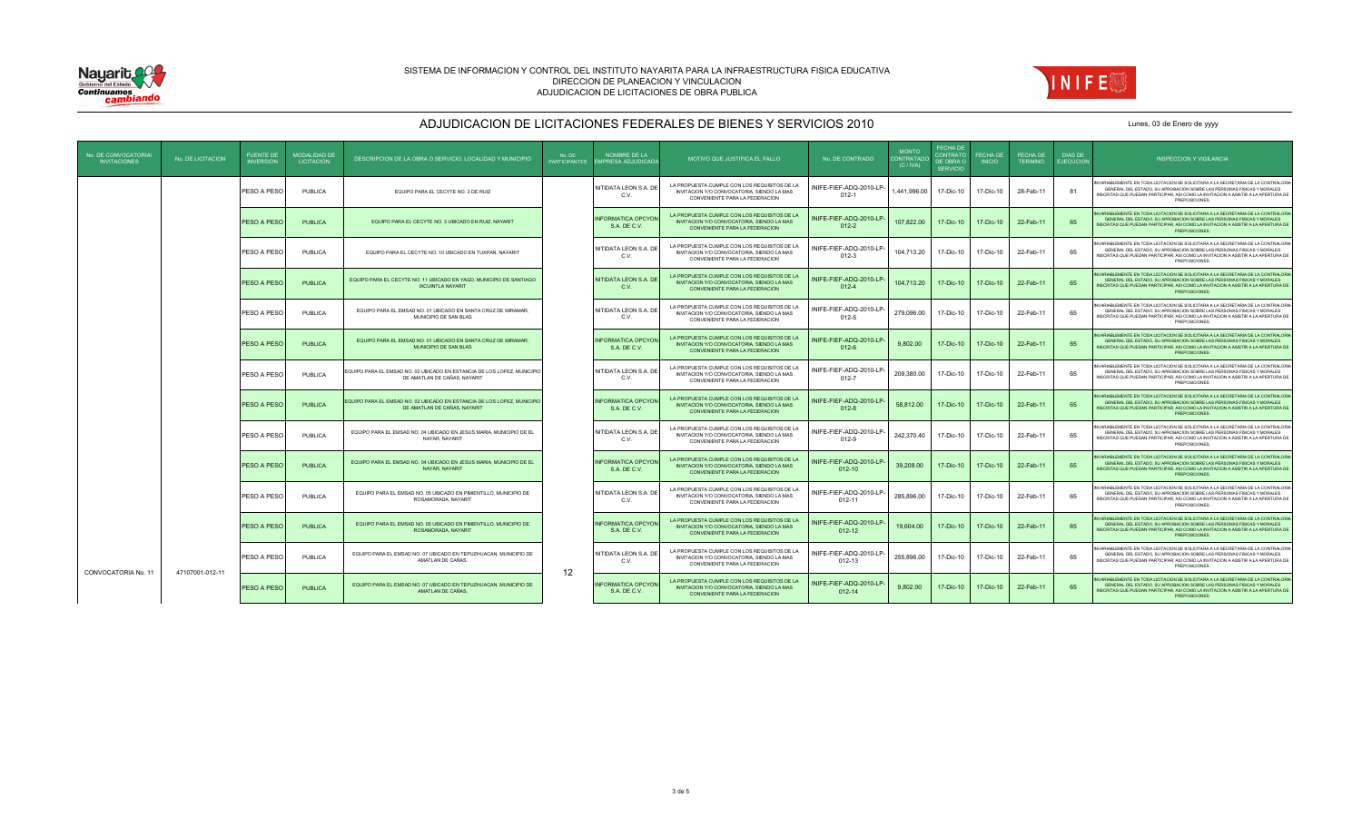



| No. DE CONVOCATORIA/<br><b>INVITACIONES</b> | No. DE LICITACION | <b>FUENTE DE</b><br><b>INVERSION</b> | <b>MODALIDAD DE</b><br><b>LICITACION</b> | DESCRIPCION DE LA OBRA O SERVICIO, LOCALIDAD Y MUNICIPIO                                                | No. DE<br>PARTICIPANTES | NOMBRE DE LA<br><b>IMPRESA ADJUDICADA</b> | MOTIVO QUE JUSTIFICA EL FALLO                                                                                                | No. DE CONTRADO                      | <b>MONTO</b><br>CONTRATADO<br>(C/IVA) | <b>FFCHA DE</b><br>CONTRATO<br>DE OBRA O<br><b>SERVICIO</b> | FECHA DE<br><b>INICIO</b> | FECHA DE<br><b>TERMINO</b> | <b>DIAS DE</b><br><b>EJECUCION</b> | <b>INSPECCION Y VIGILANCIA</b>                                                                                                                                                                                                                                      |
|---------------------------------------------|-------------------|--------------------------------------|------------------------------------------|---------------------------------------------------------------------------------------------------------|-------------------------|-------------------------------------------|------------------------------------------------------------------------------------------------------------------------------|--------------------------------------|---------------------------------------|-------------------------------------------------------------|---------------------------|----------------------------|------------------------------------|---------------------------------------------------------------------------------------------------------------------------------------------------------------------------------------------------------------------------------------------------------------------|
|                                             |                   | PESO A PESO                          | PUBLICA                                  | EQUIPO PARA EL CECYTE NO. 3 DE RUIZ                                                                     |                         | NITIDATA LEON S.A. DE<br>C.V.             | LA PROPUESTA CUMPLE CON LOS REQUISITOS DE LA<br>INVITACION Y/O CONVOCATORIA, SIENDO LA MAS<br>CONVENIENTE PARA LA FEDERACIÓN | INIFE-FIEF-ADQ-2010-LP<br>$012 - 1$  | ,441,996.00                           | 17-Dic-10                                                   | 17-Dic-10                 | 28-Feb-11                  | 81                                 | NVARIABLEMENTE EN TODA LICITACION SE SOLICITARA A LA SECRETARIA DE LA CONTRALORIA<br>GENERAL DEL ESTADO, SU APROBACION SOBRE LAS PERSONAS FISICAS Y MORALES<br>INSCRITAS QUE PUEDAN PARTICIPAR, ASI COMO LA INVITACION A ASISTIR A LA APERTURA DE<br>PREPOSICIONES. |
|                                             |                   | PESO A PESO                          | <b>PUBLICA</b>                           | EQUIPO PARA EL CECYTE NO. 3 UBICADO EN RUIZ, NAYARIT                                                    |                         | <b>INFORMATICA OPCYON</b><br>S.A. DE C.V. | LA PROPUESTA CUMPLE CON LOS REQUISITOS DE LA<br>INVITACION Y/O CONVOCATORIA, SIENDO LA MAS<br>CONVENIENTE PARA LA FEDERACION | NIFE-FIEF-ADQ-2010-LP<br>$012 - 2$   | 107.822.00                            | 17-Dic-10                                                   | 17-Dic-10                 | 22-Feb-11                  | 65                                 | IVARIABLEMENTE EN TODA LICITACION SE SOLICITARA A LA SECRETARIA DE LA CONTRALORIA<br>GENERAL DEL ESTADO, SU APROBACION SOBRE LAS PERSONAS FISICAS Y MORALES<br>INSCRITAS QUE PUEDAN PARTICIPAR, ASI COMO LA INVITACION A ASISTIR A LA APERTURA DE<br>PREPOSICIONES. |
|                                             |                   | PESO A PESO                          | PUBLICA                                  | EQUIPO PARA EL CECYTE NO. 10 UBICADO EN TUXPAN, NAYARIT                                                 |                         | NITIDATA LEON S.A. DE<br>C.V.             | LA PROPUESTA CUMPLE CON LOS REQUISITOS DE LA<br>INVITACION Y/O CONVOCATORIA, SIENDO LA MAS<br>CONVENIENTE PARA LA FEDERACION | NIFE-FIEF-ADQ-2010-LP<br>$012 - 3$   | 104.713.20                            | 17-Dic-10                                                   | 17-Dic-10                 | 22-Feb-11                  | 65                                 | IVARIABLEMENTE EN TODA LICITACION SE SOLICITARA A LA SECRETARIA DE LA CONTRALORIA<br>GENERAL DEL ESTADO. SU APROBACION SOBRE LAS PERSONAS FISICAS Y MORALES<br>INSCRITAS QUE PUEDAN PARTICIPAR, ASI COMO LA INVITACION A ASISTIR A LA APERTURA DE<br>PREPOSICIONES. |
|                                             |                   | PESO A PESO                          | <b>PUBLICA</b>                           | EQUIPO PARA EL CECYTE NO. 11 UBICADO EN YAGO, MUNICIPIO DE SANTIAGO<br><b>IXCUINTLA NAYARIT</b>         |                         | NITIDATA LEON S.A. DE<br>C.V.             | LA PROPUESTA CUMPLE CON LOS REQUISITOS DE LA<br>INVITACION Y/O CONVOCATORIA, SIENDO LA MAS<br>CONVENIENTE PARA LA FEDERACION | NIFE-FIEF-ADQ-2010-LP<br>$012 - 4$   | 104.713.20                            | 17-Dic-10                                                   | 17-Dic-10                 | 22-Feb-11                  | 65                                 | VARIABLEMENTE EN TODA LICITACION SE SOLICITARA A LA SECRETARIA DE LA CONTRALORIA<br>GENERAL DEL ESTADO, SU APROBACION SOBRE LAS PERSONAS FISICAS Y MORALES<br>INSCRITAS QUE PUEDAN PARTICIPAR, ASI COMO LA INVITACION A ASISTIR A LA APERTURA DE<br>PREPOSICIONES.  |
|                                             |                   | PESO A PESO                          | PUBLICA                                  | EQUIPO PARA EL EMSAD NO. 01 UBICADO EN SANTA CRUZ DE MIRAMAR,<br>MUNICIPIO DE SAN BLAS                  |                         | NITIDATA LEON S.A. DE<br>C.V.             | LA PROPUESTA CUMPLE CON LOS REQUISITOS DE LA<br>INVITACION Y/O CONVOCATORIA, SIENDO LA MAS<br>CONVENIENTE PARA LA FEDERACIÓN | NIFE-FIEF-ADQ-2010-LP<br>$012 - 5$   | 279,096.00                            | 17-Dic-10                                                   | 17-Dic-10                 | 22-Feb-11                  | 65                                 | IVARIABLEMENTE EN TODA LICITACION SE SOLICITARA A LA SECRETARIA DE LA CONTRALORIA<br>GENERAL DEL ESTADO, SU APROBACION SOBRE LAS PERSONAS FISICAS Y MORALES<br>INSCRITAS QUE PUEDAN PARTICIPAR. ASI COMO LA INVITACION A ASISTIR A LA APERTURA DE<br>PREPOSICIONES. |
|                                             |                   | PESO A PESO                          | <b>PUBLICA</b>                           | EQUIPO PARA EL EMSAD NO. 01 UBICADO EN SANTA CRUZ DE MIRAMAR.<br>MUNICIPIO DE SAN BLAS                  |                         | <b>INFORMATICA OPCYON</b><br>S.A. DE C.V. | LA PROPUESTA CUMPLE CON LOS REQUISITOS DE LA<br>INVITACION Y/O CONVOCATORIA, SIENDO LA MAS<br>CONVENIENTE PARA LA FEDERACION | NIFE-FIEF-ADQ-2010-LP<br>$012 - 6$   | 9.802.00                              | 17-Dic-10                                                   | 17-Dic-10                 | 22-Feb-11                  | 65                                 | IVARIABLEMENTE EN TODA LICITACION SE SOLICITARA A LA SECRETARIA DE LA CONTRALORIA<br>GENERAL DEL ESTADO. SU APROBACION SOBRE LAS PERSONAS FISICAS Y MORALES<br>INSCRITAS QUE PUEDAN PARTICIPAR, ASI COMO LA INVITACION A ASISTIR A LA APERTURA DE<br>PREPOSICIONES. |
|                                             |                   | PESO A PESO                          | PUBLICA                                  | EQUIPO PARA EL EMSAD NO. 02 UBICADO EN ESTANCIA DE LOS LOPEZ, MUNICIPIO<br>DE AMATLAN DE CAÑAS, NAYARIT |                         | NITIDATA LEON S.A. DE<br>C.V.             | LA PROPUESTA CUMPLE CON LOS REQUISITOS DE LA<br>INVITACION Y/O CONVOCATORIA, SIENDO LA MAS<br>CONVENIENTE PARA LA FEDERACIÓN | NIFE-FIEF-ADQ-2010-LP<br>$012 - 7$   | 209,380.00                            | 17-Dic-10                                                   | 17-Dic-10                 | 22-Feb-11                  | 65                                 | VARIABLEMENTE EN TODA LICITACION SE SOLICITARA A LA SECRETARIA DE LA CONTRALORIA<br>GENERAL DEL ESTADO, SU APROBACION SOBRE LAS PERSONAS FISICAS Y MORALES<br>INSCRITAS QUE PUEDAN PARTICIPAR, ASI COMO LA INVITACION A ASISTIR A LA APERTURA DE<br>PREPOSICIONES.  |
|                                             |                   | PESO A PESO                          | <b>PUBLICA</b>                           | EQUIPO PARA EL EMSAD NO. 02 UBICADO EN ESTANCIA DE LOS LOPEZ, MUNICIPIO<br>DE AMATLAN DE CAÑAS, NAYARIT |                         | <b>INFORMATICA OPCYON</b><br>S.A. DE C.V. | LA PROPUESTA CUMPLE CON LOS REQUISITOS DE LA<br>INVITACION Y/O CONVOCATORIA, SIENDO LA MAS<br>CONVENIENTE PARA LA FEDERACION | NIFE-FIEF-ADQ-2010-LF<br>$012 - 8$   | 58.812.00                             | 17-Dic-10                                                   | 17-Dic-10                 | 22-Feb-11                  | 65                                 | NVARIABLEMENTE EN TODA LICITACION SE SOLICITARA A LA SECRETARIA DE LA CONTRALORIA<br>GENERAL DEL ESTADO, SU APROBACION SOBRE LAS PERSONAS FISICAS Y MORALES<br>INSCRITAS QUE PUEDAN PARTICIPAR, ASI COMO LA INVITACION A ASISTIR A LA APERTURA DE<br>PREPOSICIONES. |
|                                             |                   | PESO A PESO                          | PUBLICA                                  | EQUIPO PARA EL EMSAD NO. 04 UBICADO EN JESUS MARIA, MUNICIPIO DE EL<br>NAYAR, NAYARIT                   |                         | NITIDATA LEON S.A. DE<br>C.V.             | LA PROPUESTA CUMPLE CON LOS REQUISITOS DE LA<br>INVITACION Y/O CONVOCATORIA, SIENDO LA MAS<br>CONVENIENTE PARA LA FEDERACIÓN | NIFE-FIEF-ADQ-2010-LP<br>$012 - 9$   | 242,370.40                            | 17-Dic-10                                                   | 17-Dic-10                 | 22-Feb-11                  | 65                                 | IVARIABLEMENTE EN TODA LICITACION SE SOLICITARA A LA SECRETARIA DE LA CONTRALORIA<br>GENERAL DEL ESTADO, SU APROBACION SOBRE LAS PERSONAS FISICAS Y MORALES<br>INSCRITAS QUE PUEDAN PARTICIPAR, ASI COMO LA INVITACION A ASISTIR A LA APERTURA DE<br>PREPOSICIONES. |
|                                             |                   | PESO A PESO                          | PUBLICA                                  | EQUIPO PARA EL EMSAD NO. 04 UBICADO EN JESUS MARIA, MUNICIPIO DE EL<br>NAYAR, NAYARIT                   |                         | <b>INFORMATICA OPCYON</b><br>S.A. DE C.V. | LA PROPUESTA CUMPLE CON LOS REQUISITOS DE LA<br>INVITACION Y/O CONVOCATORIA, SIENDO LA MAS<br>CONVENIENTE PARA LA FEDERACION | NIFE-FIEF-ADQ-2010-LP<br>$012 - 10$  | 39,208.00                             | 17-Dic-10                                                   | 17-Dic-10                 | 22-Feb-11                  | 65                                 | VARIABLEMENTE EN TODA LICITACION SE SOLICITARA A LA SECRETARIA DE LA CONTRALORIA<br>GENERAL DEL ESTADO. SU APROBACION SOBRE LAS PERSONAS FISICAS Y MORALES<br>INSCRITAS QUE PUEDAN PARTICIPAR. ASI COMO LA INVITACION A ASISTIR A LA APERTURA DE<br>PREPOSICIONES.  |
|                                             |                   | PESO A PESO                          | PUBLICA                                  | EQUIPO PARA EL EMSAD NO. 05 UBICADO EN PIMIENTILLO, MUNICIPIO DE<br>ROSAMORADA, NAYARIT                 |                         | NITIDATA LEON S.A. DE<br>C.V.             | LA PROPUESTA CUMPLE CON LOS REQUISITOS DE LA<br>INVITACION Y/O CONVOCATORIA, SIENDO LA MAS<br>CONVENIENTE PARA LA FEDERACIÓN | NIFE-FIEF-ADQ-2010-LP-<br>$012 - 11$ | 285,896.00                            | 17-Dic-10                                                   | 17-Dic-10                 | 22-Feb-11                  | 65                                 | VARIABLEMENTE EN TODA LICITACION SE SOLICITARA A LA SECRETARIA DE LA CONTRALORIA<br>GENERAL DEL ESTADO, SU APROBACION SOBRE LAS PERSONAS FISICAS Y MORALES<br>INSCRITAS QUE PUEDAN PARTICIPAR, ASI COMO LA INVITACION A ASISTIR A LA APERTURA DE<br>PREPOSICIONES.  |
|                                             |                   | PESO A PESO                          | <b>PUBLICA</b>                           | EQUIPO PARA EL EMSAD NO. 05 UBICADO EN PIMIENTILLO, MUNICIPIO DE<br>ROSAMORADA, NAYARIT                 |                         | <b>INFORMATICA OPCYON</b><br>S.A. DE C.V. | LA PROPUESTA CUMPLE CON LOS REQUISITOS DE LA<br>INVITACION Y/O CONVOCATORIA, SIENDO LA MAS<br>CONVENIENTE PARA LA FEDERACION | NIFE-FIEF-ADQ-2010-LP-<br>$012 - 12$ | 19,604.00                             | 17-Dic-10                                                   | 17-Dic-10                 | 22-Feb-11                  | 65                                 | VARIABLEMENTE EN TODA LICITACION SE SOLICITARA A LA SECRETARIA DE LA CONTRALORIA<br>GENERAL DEL ESTADO. SU APROBACION SOBRE LAS PERSONAS FISICAS Y MORALES<br>INSCRITAS QUE PUEDAN PARTICIPAR, ASI COMO LA INVITACION A ASISTIR A LA APERTURA DE<br>PREPOSICIONES.  |
| CONVOCATORIA No. 11                         | 47107001-012-11   | PESO A PESO                          | PUBLICA                                  | EQUIPO PARA EL EMSAD NO. 07 UBICADO EN TEPUZHUACAN, MUNICIPIO DE<br>AMATLAN DE CAÑAS,                   |                         | NITIDATA LEON S.A. DE<br>C.V.             | LA PROPUESTA CUMPLE CON LOS REQUISITOS DE LA<br>INVITACION Y/O CONVOCATORIA, SIENDO LA MAS<br>CONVENIENTE PARA LA FEDERACIÓN | NIFE-FIEF-ADQ-2010-LP<br>012-13      | 255,896.00                            | 17-Dic-10                                                   | 17-Dic-10                 | 22-Feb-11                  | 65                                 | VARIABLEMENTE EN TODA LICITACION SE SOLICITARA A LA SECRETARIA DE LA CONTRALORIA<br>GENERAL DEL ESTADO, SU APROBACION SOBRE LAS PERSONAS FISICAS Y MORALES<br>INSCRITAS QUE PUEDAN PARTICIPAR, ASI COMO LA INVITACION A ASISTIR A LA APERTURA DE<br>PREPOSICIONES.  |
|                                             |                   | PESO A PESO                          | <b>PUBLICA</b>                           | EQUIPO PARA EL EMSAD NO. 07 UBICADO EN TEPUZHUACAN, MUNICIPIO DE<br>AMATLAN DE CAÑAS.                   | 12                      | <b>INFORMATICA OPCYON</b><br>S.A. DE C.V. | LA PROPUESTA CUMPLE CON LOS REQUISITOS DE LA<br>INVITACION Y/O CONVOCATORIA, SIENDO LA MAS<br>CONVENIENTE PARA LA FEDERACION | NIFE-FIEF-ADQ-2010-LP<br>$012 - 14$  | 9,802.00                              | 17-Dic-10                                                   | 17-Dic-10                 | 22-Feb-11                  | 65                                 | VARIABLEMENTE EN TODA LICITACION SE SOLICITARA A LA SECRETARIA DE LA CONTRALORIA<br>GENERAL DEL ESTADO, SU APROBACION SOBRE LAS PERSONAS FISICAS Y MORALES<br>INSCRITAS QUE PUEDAN PARTICIPAR, ASI COMO LA INVITACION A ASISTIR A LA APERTURA DE<br>PREPOSICIONES.  |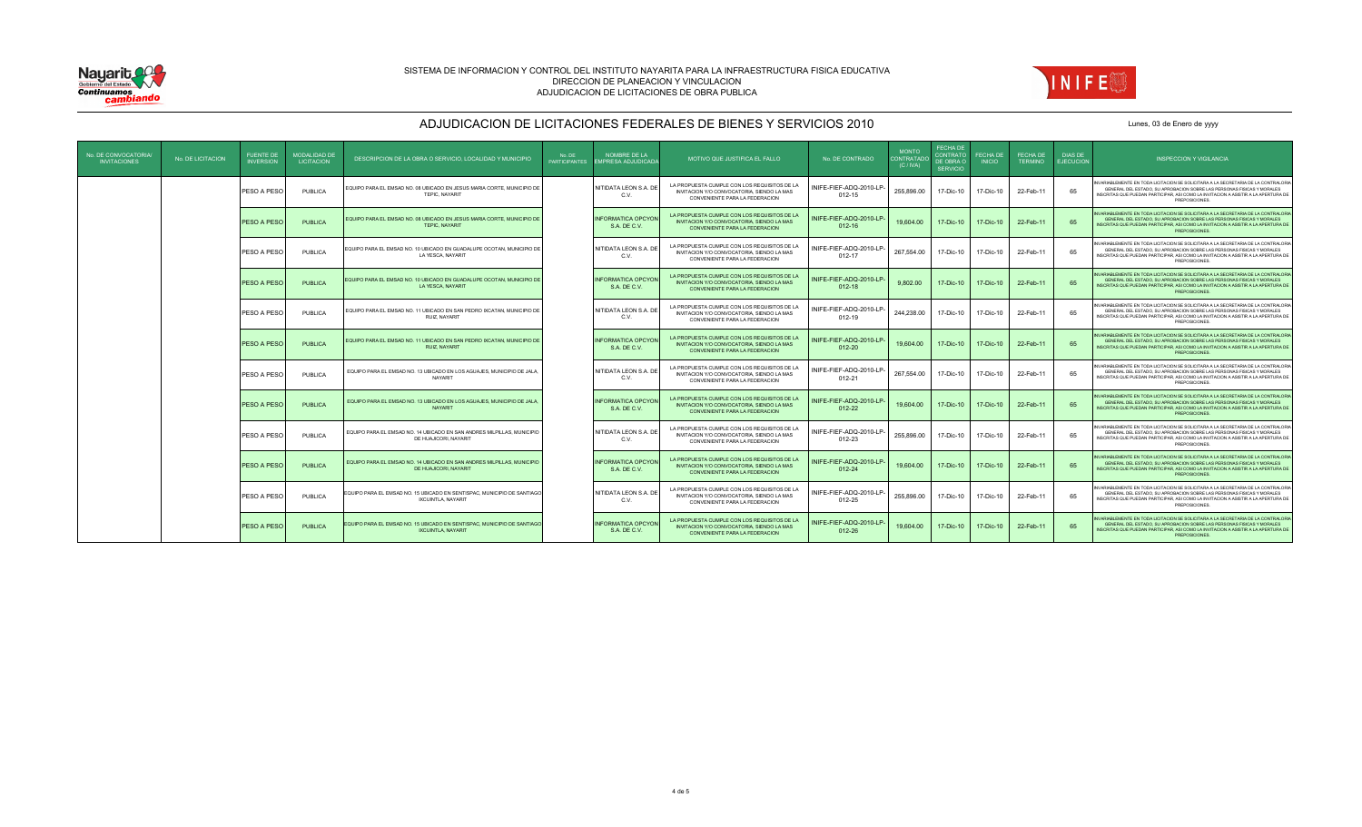



| No. DE CONVOCATORIA<br><b>INVITACIONES</b> | No. DE LICITACION | <b>FUENTE DE</b><br><b>INVERSION</b> | <b>MODALIDAD DE</b><br><b>LICITACION</b> | DESCRIPCION DE LA OBRA O SERVICIO. LOCALIDAD Y MUNICIPIO                                            | No. DE<br><b>PARTICIPANTES</b> | NOMBRE DE LA<br><b>EMPRESA ADJUDICADA</b> | MOTIVO QUE JUSTIFICA EL FALLO                                                                                                       | No. DE CONTRADO                      | <b>MONTO</b><br>ONTRATADO<br>(C/NA) | <b>FECHA DE</b><br><b>CONTRATO</b><br>DE OBRA O<br><b>SERVICIO</b> | FECHA DE<br><b>INICIO</b> | FECHA DE<br><b>TERMINO</b> | <b>DIAS DE</b><br><b>EJECUCION</b> | <b>INSPECCION Y VIGILANCIA</b>                                                                                                                                                                                                                                     |
|--------------------------------------------|-------------------|--------------------------------------|------------------------------------------|-----------------------------------------------------------------------------------------------------|--------------------------------|-------------------------------------------|-------------------------------------------------------------------------------------------------------------------------------------|--------------------------------------|-------------------------------------|--------------------------------------------------------------------|---------------------------|----------------------------|------------------------------------|--------------------------------------------------------------------------------------------------------------------------------------------------------------------------------------------------------------------------------------------------------------------|
|                                            |                   | PESO A PESC                          | PUBLICA                                  | EQUIPO PARA EL EMSAD NO. 08 UBICADO EN JESUS MARIA CORTE, MUNICIPIO DE<br>TEPIC, NAYARIT            |                                | NITIDATA LEON S.A. DE<br>C.V.             | LA PROPUESTA CUMPLE CON LOS REQUISITOS DE LA<br>INVITACION Y/O CONVOCATORIA, SIENDO LA MAS<br>CONVENIENTE PARA LA FEDERACIÓN        | NIFE-FIEF-ADQ-2010-LF<br>$012 - 15$  | 255.896.00                          | 17-Dic-10                                                          | 17-Dic-10                 | 22-Feb-11                  | 65                                 | IVARIABLEMENTE EN TODA LICITACION SE SOLICITARA A LA SECRETARIA DE LA CONTRALORIA<br>GENERAL DEL ESTADO, SU APROBACION SOBRE LAS PERSONAS FISICAS Y MORALES<br>NSCRITAS QUE PUEDAN PARTICIPAR. ASI COMO LA INVITACION A ASISTIR A LA APERTURA DE<br>PREPOSICIONES. |
|                                            |                   | PESO A PESO                          | PUBLICA                                  | EQUIPO PARA EL EMSAD NO. 08 UBICADO EN JESUS MARIA CORTE, MUNICIPIO DE<br>TEPIC, NAYARIT            |                                | <b>INFORMATICA OPCYON</b><br>S.A. DE C.V. | LA PROPUESTA CUMPLE CON LOS REQUISITOS DE LA<br>INVITACION Y/O CONVOCATORIA, SIENDO LA MAS<br>CONVENIENTE PARA LA FEDERACION        | NIFE-FIEF-ADQ-2010-LP-<br>$012 - 16$ | 19,604.00                           | 17-Dic-10                                                          | 17-Dic-10                 | 22-Feb-11                  | 65                                 | VARIABLEMENTE EN TODA LICITACION SE SOLICITARA A LA SECRETARIA DE LA CONTRALORIA<br>GENERAL DEL ESTADO. SU APROBACION SOBRE LAS PERSONAS FISICAS Y MORALES<br>NSCRITAS QUE PUEDAN PARTICIPAR. ASI COMO LA INVITACION A ASISTIR A LA APERTURA DE<br>PREPOSICIONES.  |
|                                            |                   | PESO A PESO                          | PUBLICA                                  | EQUIPO PARA EL EMSAD NO. 10 UBICADO EN GUADALUPE OCOTAN, MUNICIPIO DE<br>LA YESCA, NAYARIT          |                                | NITIDATA LEON S.A. DE<br>C.V.             | LA PROPUESTA CUMPLE CON LOS REQUISITOS DE LA<br>INVITACION Y/O CONVOCATORIA, SIENDO LA MAS<br>CONVENIENTE PARA LA FEDERACION        | NIFE-FIEF-ADQ-2010-LP-<br>$012 - 17$ | 267,554.00                          | 17-Dic-10                                                          | 17-Dic-10                 | 22-Feb-11                  | 65                                 | VVARIABLEMENTE EN TODA LICITACION SE SOLICITARA A LA SECRETARIA DE LA CONTRALORIA<br>GENERAL DEL ESTADO, SU APROBACION SOBRE LAS PERSONAS FISICAS Y MORALES<br>NSCRITAS QUE PUEDAN PARTICIPAR. ASI COMO LA INVITACION A ASISTIR A LA APERTURA DE<br>PREPOSICIONES. |
|                                            |                   | PESO A PESO                          | PUBLICA                                  | EQUIPO PARA EL EMSAD NO. 10 UBICADO EN GUADALUPE OCOTAN, MUNICIPIO DE<br>LA YESCA, NAYARIT          |                                | <b>INFORMATICA OPCYON</b><br>S.A. DE C.V. | LA PROPUESTA CUMPLE CON LOS REQUISITOS DE LA<br>INVITACION Y/O CONVOCATORIA, SIENDO LA MAS<br>CONVENIENTE PARA LA FEDERACIÓN        | NIFE-FIEF-ADQ-2010-LP-<br>$012 - 18$ | 9.802.00                            | 17-Dic-10                                                          | 17-Dic-10                 | 22-Feb-11                  | 65                                 | VARIABLEMENTE EN TODA LICITACION SE SOLICITARA A LA SECRETARIA DE LA CONTRALORIA<br>GENERAL DEL ESTADO. SU APROBACION SOBRE LAS PERSONAS FISICAS Y MORALES<br>NSCRITAS QUE PUEDAN PARTICIPAR, ASI COMO LA INVITACION A ASISTIR A LA APERTURA DE<br>PREPOSICIONES.  |
|                                            |                   | PESO A PESO                          | PUBLICA                                  | EQUIPO PARA EL EMSAD NO. 11 UBICADO EN SAN PEDRO IXCATAN. MUNICIPIO DE<br>RUIZ, NAYARIT             |                                | NITIDATA LEON S.A. DE<br>C.V.             | LA PROPUESTA CUMPLE CON LOS REQUISITOS DE LA<br>INVITACION Y/O CONVOCATORIA, SIENDO LA MAS<br>CONVENIENTE PARA LA FEDERACIÓN        | INIFE-FIEF-ADQ-2010-LP<br>$012 - 19$ | 244.238.00                          | 17-Dic-10                                                          | 17-Dic-10                 | 22-Feb-11                  | 65                                 | IVARIABLEMENTE EN TODA LICITACION SE SOLICITARA A LA SECRETARIA DE LA CONTRALORIA<br>GENERAL DEL ESTADO. SU APROBACION SOBRE LAS PERSONAS FISICAS Y MORALES<br>NSCRITAS QUE PUEDAN PARTICIPAR. ASI COMO LA INVITACION A ASISTIR A LA APERTURA DE<br>PREPOSICIONES. |
|                                            |                   | PESO A PESC                          | PUBLICA                                  | EQUIPO PARA EL EMSAD NO. 11 UBICADO EN SAN PEDRO IXCATAN, MUNICIPIO DE<br><b>RUIZ, NAYARIT</b>      |                                | <b>INFORMATICA OPCYON</b><br>S.A. DE C.V. | LA PROPUESTA CUMPLE CON LOS REQUISITOS DE LA<br>INVITACION Y/O CONVOCATORIA, SIENDO LA MAS<br>CONVENIENTE PARA LA FEDERACION        | NIFE-FIEF-ADQ-2010-LP-<br>$012 - 20$ | 19,604.00                           | 17-Dic-10                                                          | 17-Dic-10                 | 22-Feb-11                  | 65                                 | VARIABLEMENTE EN TODA LICITACION SE SOLICITARA A LA SECRETARIA DE LA CONTRALORIA<br>GENERAL DEL ESTADO. SU APROBACION SOBRE LAS PERSONAS FISICAS Y MORALES<br>NSCRITAS QUE PUEDAN PARTICIPAR, ASI COMO LA INVITACION A ASISTIR A LA APERTURA DE<br>PREPOSICIONES.  |
|                                            |                   | PESO A PESO                          | PUBLICA                                  | EQUIPO PARA EL EMSAD NO. 13 UBICADO EN LOS AGUAJES, MUNICIPIO DE JALA,<br>NAYARIT                   |                                | NITIDATA LEON S.A. DE<br>C.V.             | LA PROPUESTA CUMPLE CON LOS REQUISITOS DE LA<br>INVITACION Y/O CONVOCATORIA, SIENDO LA MAS<br>CONVENIENTE PARA LA FEDERACIÓN        | INIFE-FIEF-ADQ-2010-LP-<br>012-21    | 267.554.00                          | 17-Dic-10                                                          | 17-Dic-10                 | 22-Feb-11                  | 65                                 | IVARIABLEMENTE EN TODA LICITACION SE SOLICITARA A LA SECRETARIA DE LA CONTRALORIA<br>GENERAL DEL ESTADO. SU APROBACION SOBRE LAS PERSONAS FISICAS Y MORALES<br>NSCRITAS QUE PUEDAN PARTICIPAR. ASI COMO LA INVITACION A ASISTIR A LA APERTURA DE<br>PREPOSICIONES. |
|                                            |                   | PESO A PESC                          | PUBLICA                                  | EQUIPO PARA EL EMSAD NO. 13 UBICADO EN LOS AGUAJES, MUNICIPIO DE JALA<br><b>NAYARIT</b>             |                                | <b>INFORMATICA OPCYON</b><br>S.A. DE C.V. | LA PROPUESTA CUMPLE CON LOS REQUISITOS DE LA<br>INVITACION Y/O CONVOCATORIA, SIENDO LA MAS<br>CONVENIENTE PARA LA FEDERACION        | NIFE-FIEF-ADQ-2010-LP-<br>$012 - 22$ | 19,604.00                           | 17-Dic-10                                                          | 17-Dic-10                 | 22-Feb-11                  | 65                                 | ARIABLEMENTE EN TODA LICITACION SE SOLICITARA A LA SECRETARIA DE LA CONTRALORIA<br>GENERAL DEL ESTADO, SU APROBACION SOBRE LAS PERSONAS FISICAS Y MORALES<br>NSCRITAS QUE PUEDAN PARTICIPAR. ASI COMO LA INVITACION A ASISTIR A LA APERTURA DE<br>PREPOSICIONES.   |
|                                            |                   | PESO A PESO                          | PUBLICA                                  | EQUIPO PARA EL EMSAD NO. 14 UBICADO EN SAN ANDRES MILPILLAS, MUNICIPIO<br>DE HUAJICORI, NAYARIT     |                                | NITIDATA LEON S.A. DE<br>C.V.             | LA PROPUESTA CUMPLE CON LOS REQUISITOS DE LA<br>INVITACION Y/O CONVOCATORIA, SIENDO LA MAS<br>CONVENIENTE PARA LA FEDERACION        | NIFE-FIEF-ADQ-2010-LP-<br>012-23     | 255.896.00                          | 17-Dic-10                                                          | 17-Dic-10                 | 22-Feb-11                  | 65                                 | IVARIABLEMENTE EN TODA LICITACION SE SOLICITARA A LA SECRETARIA DE LA CONTRALORIA<br>GENERAL DEL ESTADO. SU APROBACION SOBRE LAS PERSONAS FISICAS Y MORALES<br>NSCRITAS QUE PUEDAN PARTICIPAR. ASI COMO LA INVITACION A ASISTIR A LA APERTURA DE<br>PREPOSICIONES. |
|                                            |                   | PESO A PESO                          | PUBLICA                                  | EQUIPO PARA EL EMSAD NO. 14 UBICADO EN SAN ANDRES MILPILLAS, MUNICIPIO<br>DE HUAJICORI, NAYARIT     |                                | <b>INFORMATICA OPCYON</b><br>S.A. DE C.V. | LA PROPUESTA CUMPLE CON LOS REQUISITOS DE LA<br><b>INVITACION Y/O CONVOCATORIA, SIENDO LA MAS</b><br>CONVENIENTE PARA LA FEDERACION | NIFE-FIEF-ADQ-2010-LP<br>012-24      | 19,604.00                           | 17-Dic-10                                                          | 17-Dic-10                 | 22-Feb-11                  | 65                                 | VARIABLEMENTE EN TODA LICITACION SE SOLICITARA A LA SECRETARIA DE LA CONTRALORIA<br>GENERAL DEL ESTADO. SU APROBACION SOBRE LAS PERSONAS FISICAS Y MORALES<br>NSCRITAS QUE PUEDAN PARTICIPAR, ASI COMO LA INVITACION A ASISTIR A LA APERTURA DE<br>PREPOSICIONES.  |
|                                            |                   | PESO A PESO                          | PUBLICA                                  | EQUIPO PARA EL EMSAD NO. 15 UBICADO EN SENTISPAC, MUNICIPIO DE SANTIAGO<br><b>IXCUINTLA NAYARIT</b> |                                | NITIDATA LEON S.A. DE<br>C.V.             | LA PROPUESTA CUMPLE CON LOS REQUISITOS DE LA<br>INVITACION Y/O CONVOCATORIA, SIENDO LA MAS<br>CONVENIENTE PARA LA FEDERACION        | NIFE-FIEF-ADQ-2010-LP<br>$012 - 25$  | 255.896.00                          | 17-Dic-10                                                          | 17-Dic-10                 | 22-Feb-11                  | 65                                 | VVARIABLEMENTE EN TODA LICITACION SE SOLICITARA A LA SECRETARIA DE LA CONTRALORIA<br>GENERAL DEL ESTADO, SU APROBACION SOBRE LAS PERSONAS FISICAS Y MORALES<br>NSCRITAS QUE PUEDAN PARTICIPAR, ASI COMO LA INVITACION A ASISTIR A LA APERTURA DE<br>PREPOSICIONES. |
|                                            |                   | PESO A PESO                          | PUBLICA                                  | EQUIPO PARA EL EMSAD NO. 15 UBICADO EN SENTISPAC. MUNICIPIO DE SANTIAGO<br><b>IXCUINTLA NAYARIT</b> |                                | <b>INFORMATICA OPCYON</b><br>S.A. DE C.V. | LA PROPUESTA CUMPLE CON LOS REQUISITOS DE LA<br>INVITACION Y/O CONVOCATORIA, SIENDO LA MAS<br>CONVENIENTE PARA LA FEDERACION        | INIFE-FIEF-ADQ-2010-LP-<br>012-26    | 19,604.00                           | 17-Dic-10                                                          | 17-Dic-10                 | 22-Feb-11                  | 65                                 | ARIABLEMENTE EN TODA LICITACION SE SOLICITARA A LA SECRETARIA DE LA CONTRALORIA<br>GENERAL DEL ESTADO. SU APROBACION SOBRE LAS PERSONAS FISICAS Y MORALES<br>NSCRITAS QUE PUEDAN PARTICIPAR. ASI COMO LA INVITACION A ASISTIR A LA APERTURA DE<br>PREPOSICIONES.   |